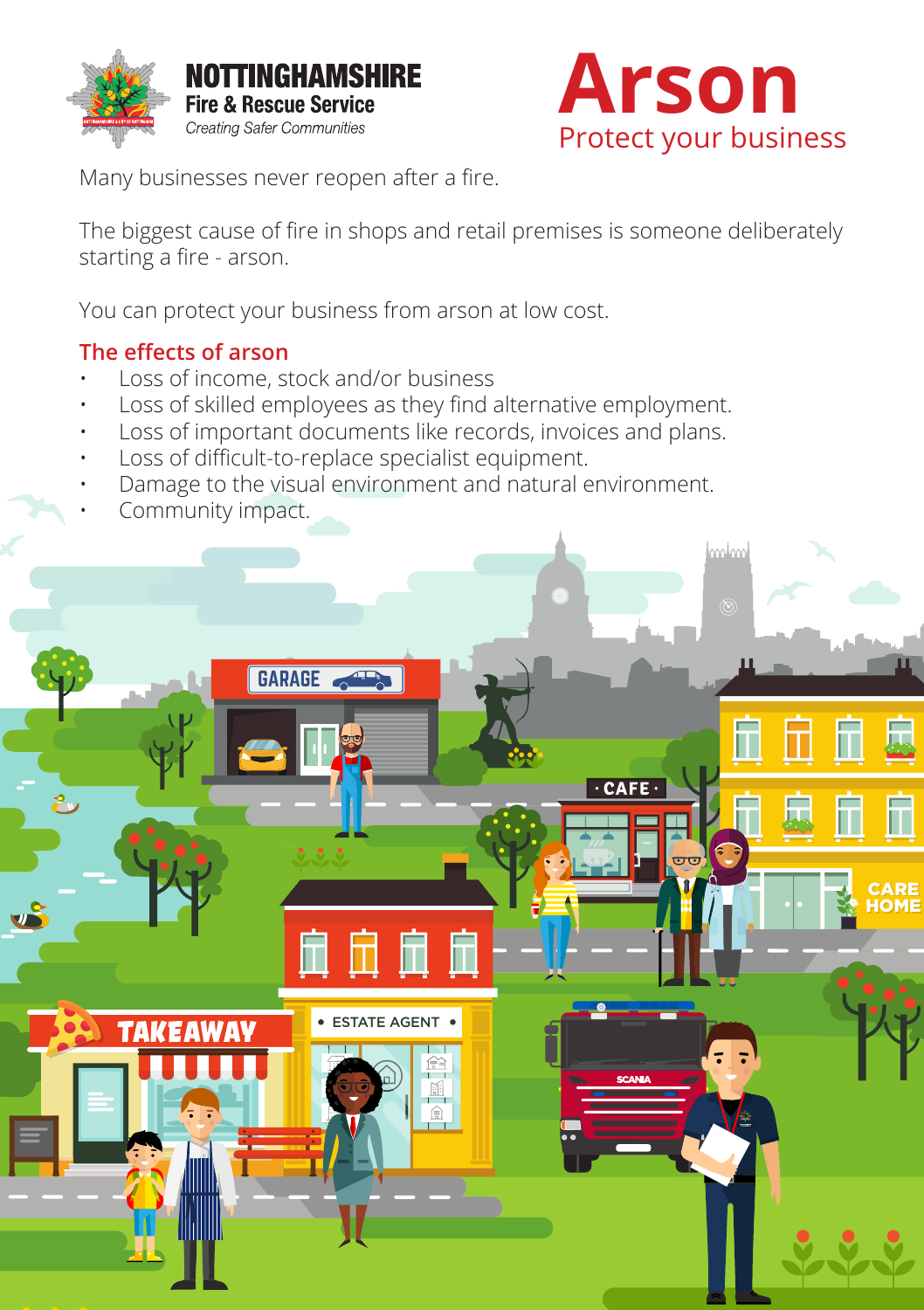



Many businesses never reopen after a fire.

The biggest cause of fire in shops and retail premises is someone deliberately starting a fire - arson.

You can protect your business from arson at low cost. You can protect your business from arson at low cost.

#### **The effects of arson**

- Loss of income, stock and/or business
- **IDENTIFY:**<br>
Loss of income, stock and/or business<br>
Loss of skilled employees as they find alternative employment.<br>
Loss of important documents like records, invoices and plans.<br>
Loss of difficult to replace specialist equ • Loss of skilled employees as they find alternative employment.
	- Loss of important documents like records, invoices and plans.
	- Loss of difficult-to-replace specialist equipment.
	- Damage to the visual environment and natural environment.
	- Community impact.

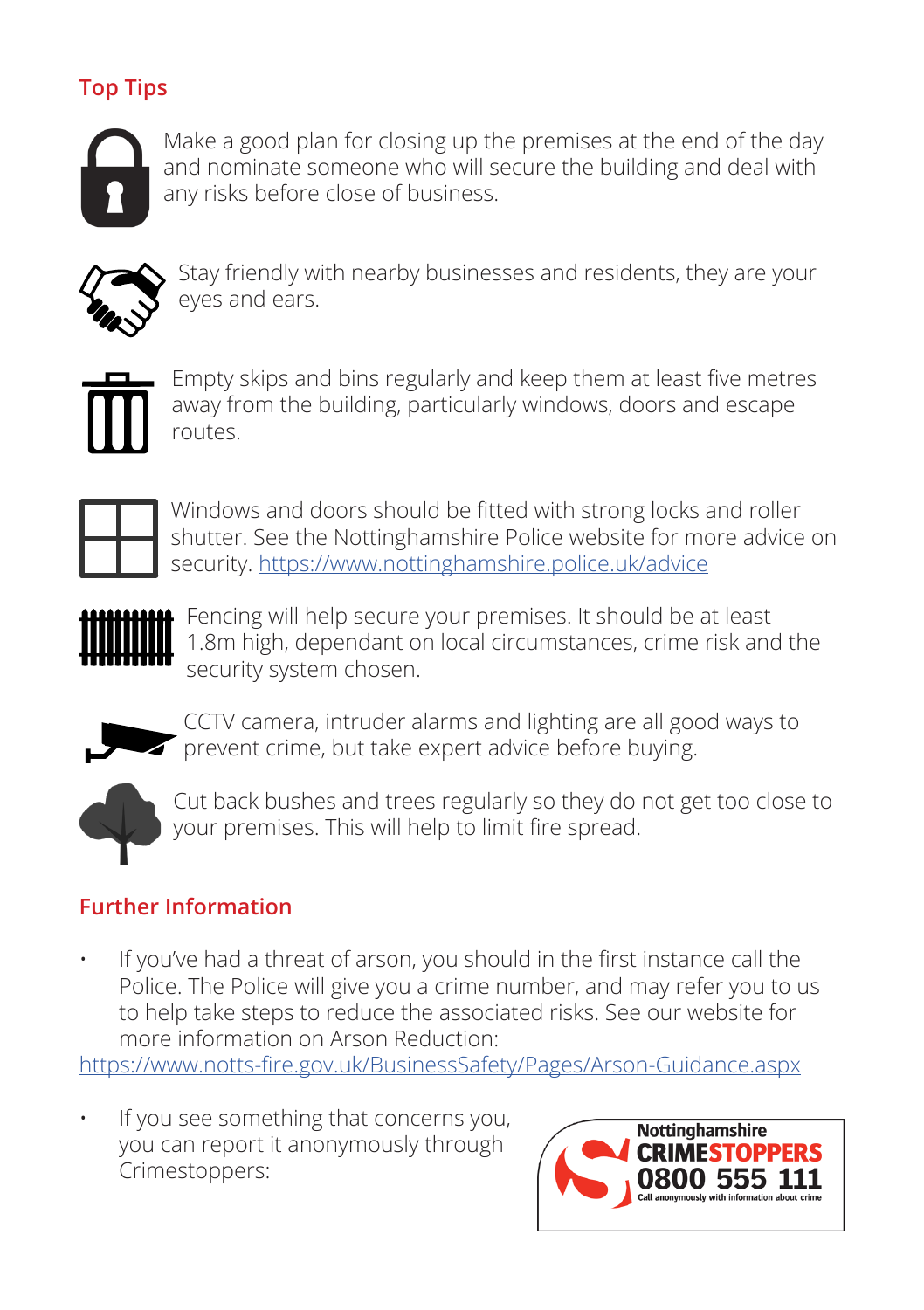# **Top Tips**



Make a good plan for closing up the premises at the end of the day and nominate someone who will secure the building and deal with any risks before close of business.



Stay friendly with nearby businesses and residents, they are your eyes and ears.



Empty skips and bins regularly and keep them at least five metres away from the building, particularly windows, doors and escape routes.



Windows and doors should be fitted with strong locks and roller shutter. See the Nottinghamshire Police website for more advice on security. https://www.nottinghamshire.police.uk/advice



Fencing will help secure your premises. It should be at least 1.8m high, dependant on local circumstances, crime risk and the security system chosen.



CCTV camera, intruder alarms and lighting are all good ways to **Provent crime, but take expert advice before buying.** 



Cut back bushes and trees regularly so they do not get too close to your premises. This will help to limit fire spread.

## **Further Information**

• If you've had a threat of arson, you should in the first instance call the Police. The Police will give you a crime number, and may refer you to us to help take steps to reduce the associated risks. See our website for more information on Arson Reduction:

https://www.notts-fire.gov.uk/BusinessSafety/Pages/Arson-Guidance.aspx

If you see something that concerns you, you can report it anonymously through Crimestoppers:

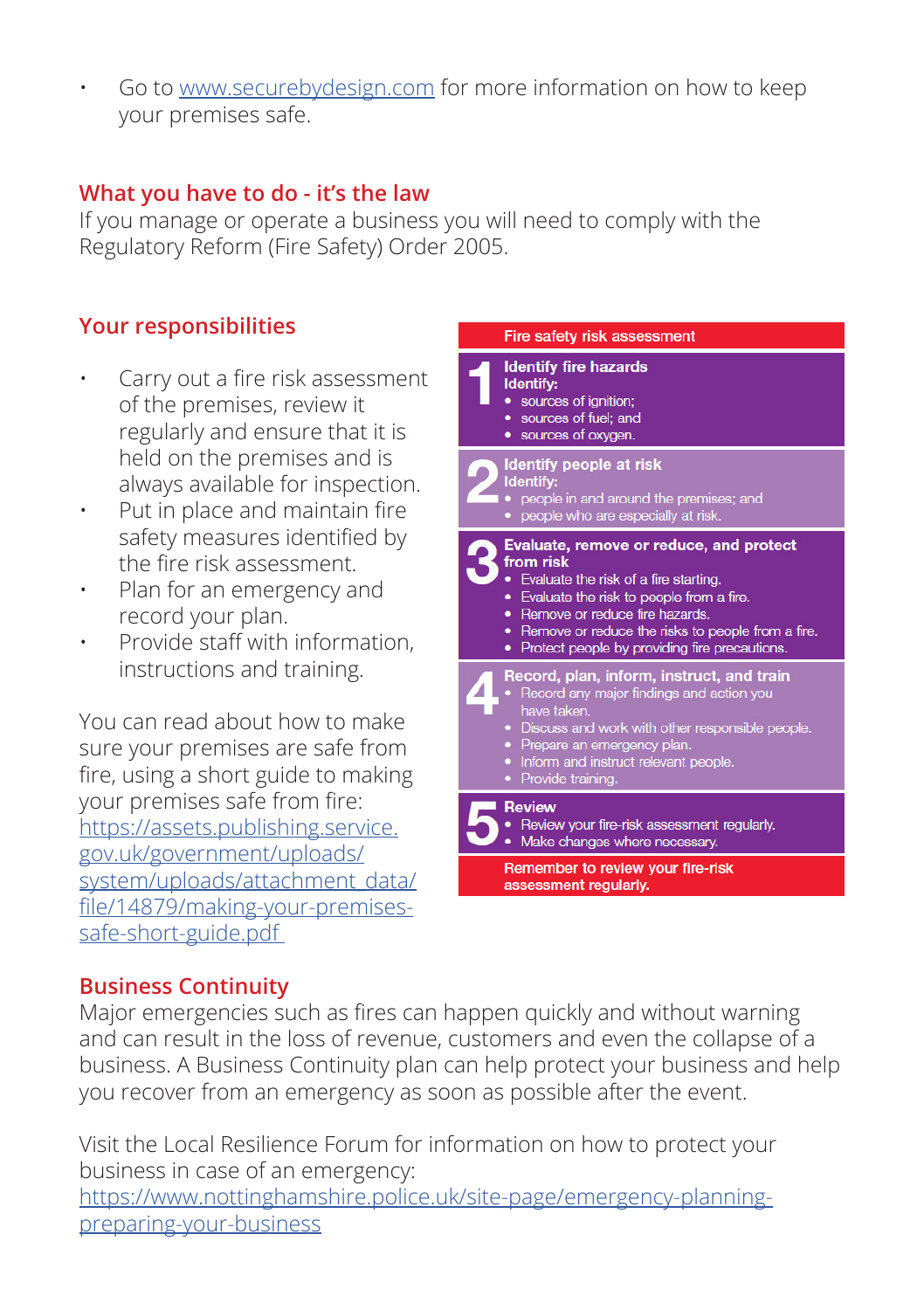• Go to www.securebydesign.com for more information on how to keep your premises safe.

#### **What you have to do - it's the law**

If you manage or operate a business you will need to comply with the Regulatory Reform (Fire Safety) Order 2005.

#### **Your responsibilities**

- Carry out a fire risk assessment of the premises, review it regularly and ensure that it is held on the premises and is always available for inspection.
- Put in place and maintain fire safety measures identified by the fire risk assessment.
- Plan for an emergency and record your plan.
- Provide staff with information, instructions and training.

You can read about how to make sure your premises are safe from fire, using a short guide to making your premises safe from fire: https://assets.publishing.service. gov.uk/government/uploads/ system/uploads/attachment\_data/ file/14879/making-your-premisessafe-short-guide.pdf



#### **Business Continuity**

Major emergencies such as fires can happen quickly and without warning and can result in the loss of revenue, customers and even the collapse of a business. A Business Continuity plan can help protect your business and help you recover from an emergency as soon as possible after the event.

Visit the Local Resilience Forum for information on how to protect your business in case of an emergency: https://www.nottinghamshire.police.uk/site-page/emergency-planningpreparing-your-business